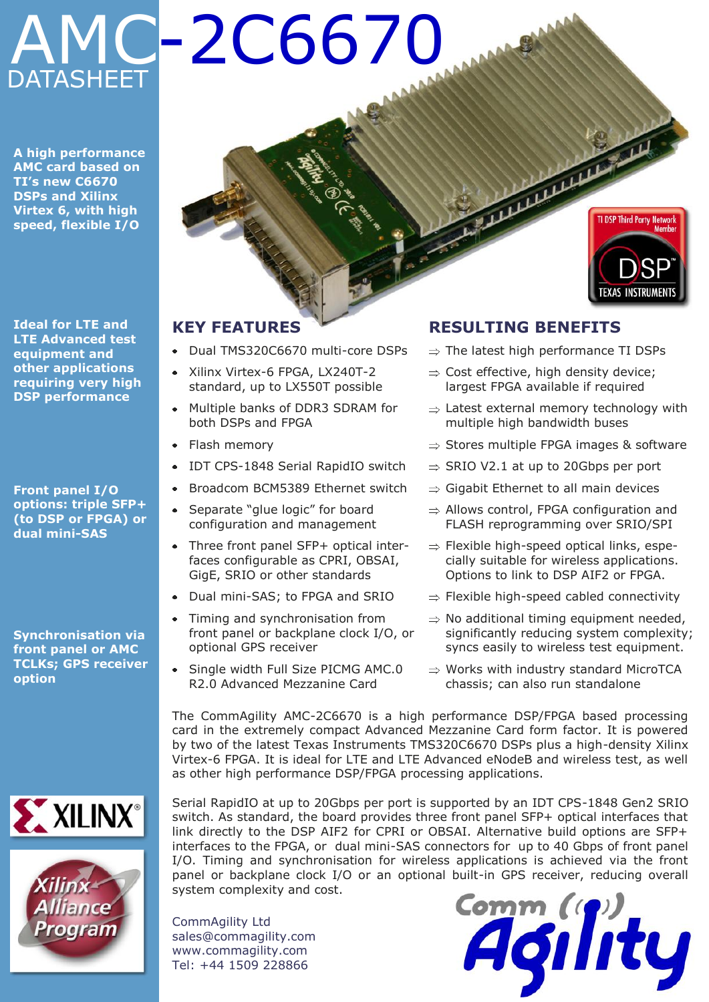# DATASHEET AMC-2C6670

**A high performance AMC card based on TI's new C6670 DSPs and Xilinx Virtex 6, with high speed, flexible I/O**



**Ideal for LTE and LTE Advanced test equipment and other applications requiring very high DSP performance**

**Front panel I/O options: triple SFP+ (to DSP or FPGA) or dual mini-SAS**

**Synchronisation via front panel or AMC TCLKs; GPS receiver option**





# **KEY FEATURES**

- Dual TMS320C6670 multi-core DSPs
- Xilinx Virtex-6 FPGA, LX240T-2  $\bullet$ standard, up to LX550T possible
- Multiple banks of DDR3 SDRAM for  $\bullet$ both DSPs and FPGA
- Flash memory
- $\bullet$ IDT CPS-1848 Serial RapidIO switch
- Broadcom BCM5389 Ethernet switch  $\bullet$
- Separate "glue logic" for board configuration and management
- Three front panel SFP+ optical interfaces configurable as CPRI, OBSAI, GigE, SRIO or other standards
- Dual mini-SAS; to FPGA and SRIO
- Timing and synchronisation from front panel or backplane clock I/O, or optional GPS receiver
- Single width Full Size PICMG AMC.0 R2.0 Advanced Mezzanine Card

# **RESULTING BENEFITS**

- $\Rightarrow$  The latest high performance TI DSPs
- $\Rightarrow$  Cost effective, high density device; largest FPGA available if required
- $\Rightarrow$  Latest external memory technology with multiple high bandwidth buses
- $\Rightarrow$  Stores multiple FPGA images & software
- $\Rightarrow$  SRIO V2.1 at up to 20Gbps per port
- $\Rightarrow$  Gigabit Ethernet to all main devices
- $\Rightarrow$  Allows control, FPGA configuration and FLASH reprogramming over SRIO/SPI
- $\Rightarrow$  Flexible high-speed optical links, especially suitable for wireless applications. Options to link to DSP AIF2 or FPGA.
- $\Rightarrow$  Flexible high-speed cabled connectivity
- $\Rightarrow$  No additional timing equipment needed, significantly reducing system complexity; syncs easily to wireless test equipment.
- $\Rightarrow$  Works with industry standard MicroTCA chassis; can also run standalone

The CommAgility AMC-2C6670 is a high performance DSP/FPGA based processing card in the extremely compact Advanced Mezzanine Card form factor. It is powered by two of the latest Texas Instruments TMS320C6670 DSPs plus a high-density Xilinx Virtex-6 FPGA. It is ideal for LTE and LTE Advanced eNodeB and wireless test, as well as other high performance DSP/FPGA processing applications.

Serial RapidIO at up to 20Gbps per port is supported by an IDT CPS-1848 Gen2 SRIO switch. As standard, the board provides three front panel SFP+ optical interfaces that link directly to the DSP AIF2 for CPRI or OBSAI. Alternative build options are SFP+ interfaces to the FPGA, or dual mini-SAS connectors for up to 40 Gbps of front panel I/O. Timing and synchronisation for wireless applications is achieved via the front panel or backplane clock I/O or an optional built-in GPS receiver, reducing overall system complexity and cost.

CommAgility Ltd sales@commagility.com www.commagility.com Tel: +44 1509 228866